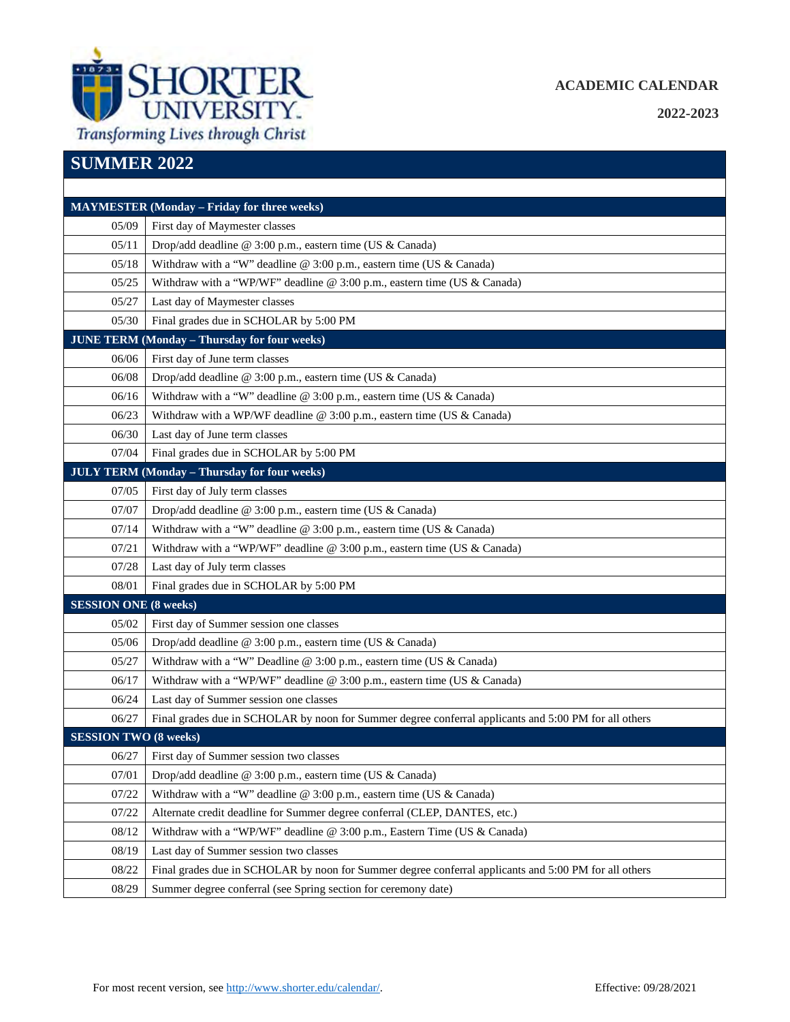

## **ACADEMIC CALENDAR**

**2022-2023** 

## **SUMMER 2022**

| <b>MAYMESTER</b> (Monday – Friday for three weeks)  |                                                                                                       |  |
|-----------------------------------------------------|-------------------------------------------------------------------------------------------------------|--|
| 05/09                                               | First day of Maymester classes                                                                        |  |
| 05/11                                               | Drop/add deadline @ 3:00 p.m., eastern time (US & Canada)                                             |  |
| 05/18                                               | Withdraw with a "W" deadline @ 3:00 p.m., eastern time (US & Canada)                                  |  |
| 05/25                                               | Withdraw with a "WP/WF" deadline @ 3:00 p.m., eastern time (US & Canada)                              |  |
| 05/27                                               | Last day of Maymester classes                                                                         |  |
| 05/30                                               | Final grades due in SCHOLAR by 5:00 PM                                                                |  |
| <b>JUNE TERM (Monday - Thursday for four weeks)</b> |                                                                                                       |  |
| 06/06                                               | First day of June term classes                                                                        |  |
| 06/08                                               | Drop/add deadline @ 3:00 p.m., eastern time (US & Canada)                                             |  |
| 06/16                                               | Withdraw with a "W" deadline @ 3:00 p.m., eastern time (US & Canada)                                  |  |
| 06/23                                               | Withdraw with a WP/WF deadline $@ 3:00 p.m.,$ eastern time (US & Canada)                              |  |
| 06/30                                               | Last day of June term classes                                                                         |  |
| 07/04                                               | Final grades due in SCHOLAR by 5:00 PM                                                                |  |
| <b>JULY TERM (Monday - Thursday for four weeks)</b> |                                                                                                       |  |
| 07/05                                               | First day of July term classes                                                                        |  |
| 07/07                                               | Drop/add deadline @ 3:00 p.m., eastern time (US & Canada)                                             |  |
| 07/14                                               | Withdraw with a "W" deadline @ 3:00 p.m., eastern time (US & Canada)                                  |  |
| 07/21                                               | Withdraw with a "WP/WF" deadline @ 3:00 p.m., eastern time (US & Canada)                              |  |
| 07/28                                               | Last day of July term classes                                                                         |  |
| 08/01                                               | Final grades due in SCHOLAR by 5:00 PM                                                                |  |
| <b>SESSION ONE (8 weeks)</b>                        |                                                                                                       |  |
| 05/02                                               | First day of Summer session one classes                                                               |  |
| 05/06                                               | Drop/add deadline @ 3:00 p.m., eastern time (US & Canada)                                             |  |
| 05/27                                               | Withdraw with a "W" Deadline @ 3:00 p.m., eastern time (US & Canada)                                  |  |
| 06/17                                               | Withdraw with a "WP/WF" deadline $@3:00$ p.m., eastern time (US & Canada)                             |  |
| 06/24                                               | Last day of Summer session one classes                                                                |  |
| 06/27                                               | Final grades due in SCHOLAR by noon for Summer degree conferral applicants and 5:00 PM for all others |  |
| <b>SESSION TWO (8 weeks)</b>                        |                                                                                                       |  |
| 06/27                                               | First day of Summer session two classes                                                               |  |
| 07/01                                               | Drop/add deadline @ 3:00 p.m., eastern time (US & Canada)                                             |  |
| 07/22                                               | Withdraw with a "W" deadline $@ 3:00 p.m.,$ eastern time (US & Canada)                                |  |
| 07/22                                               | Alternate credit deadline for Summer degree conferral (CLEP, DANTES, etc.)                            |  |
| 08/12                                               | Withdraw with a "WP/WF" deadline @ 3:00 p.m., Eastern Time (US & Canada)                              |  |
| 08/19                                               | Last day of Summer session two classes                                                                |  |
| 08/22                                               | Final grades due in SCHOLAR by noon for Summer degree conferral applicants and 5:00 PM for all others |  |
| 08/29                                               | Summer degree conferral (see Spring section for ceremony date)                                        |  |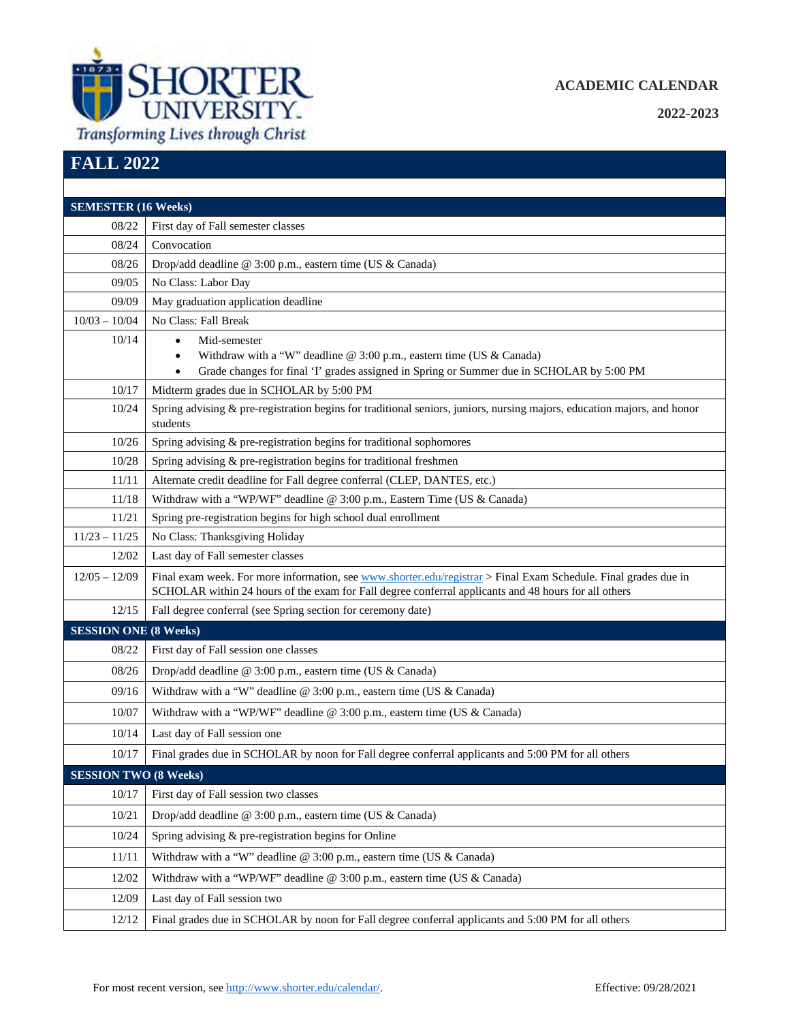

## **ACADEMIC CALENDAR**

**2022-2023** 

**FALL 2022**

| <b>SEMESTER (16 Weeks)</b>   |                                                                                                                                                                                                                         |  |
|------------------------------|-------------------------------------------------------------------------------------------------------------------------------------------------------------------------------------------------------------------------|--|
| 08/22                        | First day of Fall semester classes                                                                                                                                                                                      |  |
| 08/24                        | Convocation                                                                                                                                                                                                             |  |
| 08/26                        | Drop/add deadline @ 3:00 p.m., eastern time (US & Canada)                                                                                                                                                               |  |
| 09/05                        | No Class: Labor Day                                                                                                                                                                                                     |  |
| 09/09                        | May graduation application deadline                                                                                                                                                                                     |  |
| $10/03 - 10/04$              | No Class: Fall Break                                                                                                                                                                                                    |  |
| 10/14                        | Mid-semester<br>$\bullet$<br>Withdraw with a "W" deadline $@ 3:00 p.m.,$ eastern time (US & Canada)<br>٠<br>Grade changes for final 'I' grades assigned in Spring or Summer due in SCHOLAR by 5:00 PM<br>$\bullet$      |  |
| 10/17                        | Midterm grades due in SCHOLAR by 5:00 PM                                                                                                                                                                                |  |
| 10/24                        | Spring advising & pre-registration begins for traditional seniors, juniors, nursing majors, education majors, and honor<br>students                                                                                     |  |
| 10/26                        | Spring advising & pre-registration begins for traditional sophomores                                                                                                                                                    |  |
| 10/28                        | Spring advising & pre-registration begins for traditional freshmen                                                                                                                                                      |  |
| 11/11                        | Alternate credit deadline for Fall degree conferral (CLEP, DANTES, etc.)                                                                                                                                                |  |
| 11/18                        | Withdraw with a "WP/WF" deadline @ 3:00 p.m., Eastern Time (US & Canada)                                                                                                                                                |  |
| 11/21                        | Spring pre-registration begins for high school dual enrollment                                                                                                                                                          |  |
| $11/23 - 11/25$              | No Class: Thanksgiving Holiday                                                                                                                                                                                          |  |
| 12/02                        | Last day of Fall semester classes                                                                                                                                                                                       |  |
| $12/05 - 12/09$              | Final exam week. For more information, see www.shorter.edu/registrar > Final Exam Schedule. Final grades due in<br>SCHOLAR within 24 hours of the exam for Fall degree conferral applicants and 48 hours for all others |  |
| 12/15                        | Fall degree conferral (see Spring section for ceremony date)                                                                                                                                                            |  |
| <b>SESSION ONE (8 Weeks)</b> |                                                                                                                                                                                                                         |  |
| 08/22                        | First day of Fall session one classes                                                                                                                                                                                   |  |
| 08/26                        | Drop/add deadline @ 3:00 p.m., eastern time (US & Canada)                                                                                                                                                               |  |
| 09/16                        | Withdraw with a "W" deadline @ 3:00 p.m., eastern time (US & Canada)                                                                                                                                                    |  |
| 10/07                        | Withdraw with a "WP/WF" deadline @ 3:00 p.m., eastern time (US & Canada)                                                                                                                                                |  |
| 10/14                        | Last day of Fall session one                                                                                                                                                                                            |  |
| 10/17                        | Final grades due in SCHOLAR by noon for Fall degree conferral applicants and 5:00 PM for all others                                                                                                                     |  |
| <b>SESSION TWO (8 Weeks)</b> |                                                                                                                                                                                                                         |  |
| 10/17                        | First day of Fall session two classes                                                                                                                                                                                   |  |
| 10/21                        | Drop/add deadline @ 3:00 p.m., eastern time (US & Canada)                                                                                                                                                               |  |
| 10/24                        | Spring advising $&$ pre-registration begins for Online                                                                                                                                                                  |  |
| 11/11                        | Withdraw with a "W" deadline @ 3:00 p.m., eastern time (US & Canada)                                                                                                                                                    |  |
| 12/02                        | Withdraw with a "WP/WF" deadline $@3:00$ p.m., eastern time (US & Canada)                                                                                                                                               |  |
| 12/09                        | Last day of Fall session two                                                                                                                                                                                            |  |
| 12/12                        | Final grades due in SCHOLAR by noon for Fall degree conferral applicants and 5:00 PM for all others                                                                                                                     |  |